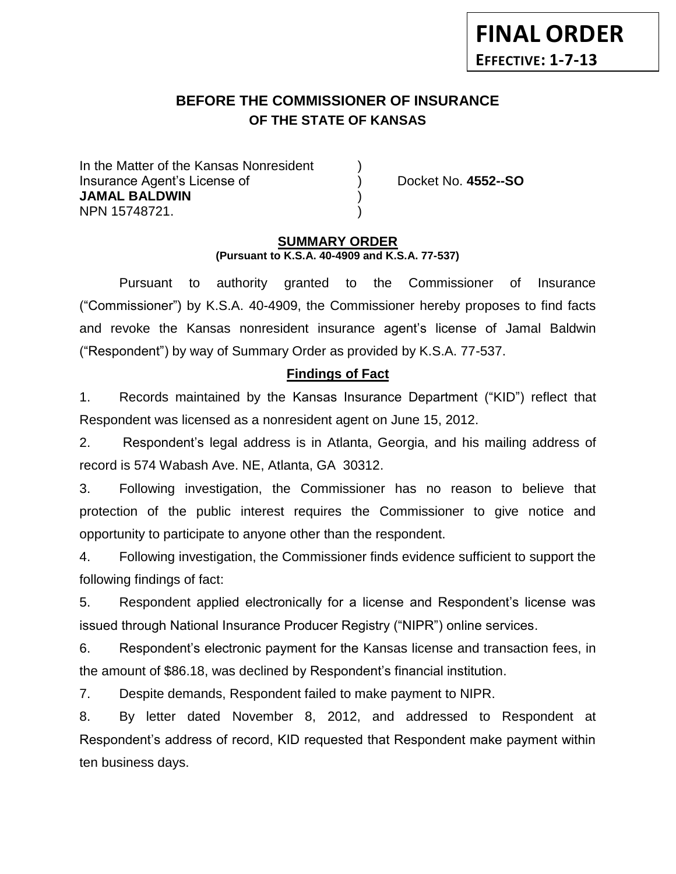### **BEFORE THE COMMISSIONER OF INSURANCE OF THE STATE OF KANSAS** *-12*

In the Matter of the Kansas Nonresident Insurance Agent's License of ) Docket No. **4552--SO JAMAL BALDWIN** ) NPN 15748721. )

**FINAL ORDER**

**EFFECTIVE: 1-7-13**

### **SUMMARY ORDER (Pursuant to K.S.A. 40-4909 and K.S.A. 77-537)**

Pursuant to authority granted to the Commissioner of Insurance ("Commissioner") by K.S.A. 40-4909, the Commissioner hereby proposes to find facts and revoke the Kansas nonresident insurance agent's license of Jamal Baldwin ("Respondent") by way of Summary Order as provided by K.S.A. 77-537.

## **Findings of Fact**

1. Records maintained by the Kansas Insurance Department ("KID") reflect that Respondent was licensed as a nonresident agent on June 15, 2012.

2. Respondent's legal address is in Atlanta, Georgia, and his mailing address of record is 574 Wabash Ave. NE, Atlanta, GA 30312.

3. Following investigation, the Commissioner has no reason to believe that protection of the public interest requires the Commissioner to give notice and opportunity to participate to anyone other than the respondent.

4. Following investigation, the Commissioner finds evidence sufficient to support the following findings of fact:

5. Respondent applied electronically for a license and Respondent's license was issued through National Insurance Producer Registry ("NIPR") online services.

6. Respondent's electronic payment for the Kansas license and transaction fees, in the amount of \$86.18, was declined by Respondent's financial institution.

7. Despite demands, Respondent failed to make payment to NIPR.

8. By letter dated November 8, 2012, and addressed to Respondent at Respondent's address of record, KID requested that Respondent make payment within ten business days.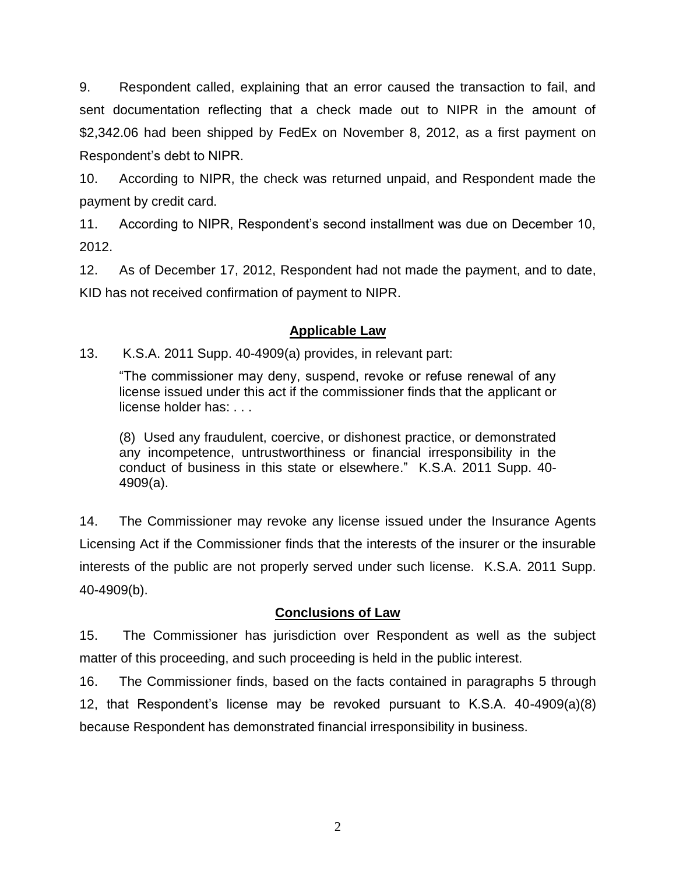9. Respondent called, explaining that an error caused the transaction to fail, and sent documentation reflecting that a check made out to NIPR in the amount of \$2,342.06 had been shipped by FedEx on November 8, 2012, as a first payment on Respondent's debt to NIPR.

10. According to NIPR, the check was returned unpaid, and Respondent made the payment by credit card.

11. According to NIPR, Respondent's second installment was due on December 10, 2012.

12. As of December 17, 2012, Respondent had not made the payment, and to date, KID has not received confirmation of payment to NIPR.

# **Applicable Law**

## 13. K.S.A. 2011 Supp. 40-4909(a) provides, in relevant part:

"The commissioner may deny, suspend, revoke or refuse renewal of any license issued under this act if the commissioner finds that the applicant or license holder has: . . .

(8) Used any fraudulent, coercive, or dishonest practice, or demonstrated any incompetence, untrustworthiness or financial irresponsibility in the conduct of business in this state or elsewhere." K.S.A. 2011 Supp. 40- 4909(a).

14. The Commissioner may revoke any license issued under the Insurance Agents Licensing Act if the Commissioner finds that the interests of the insurer or the insurable interests of the public are not properly served under such license. K.S.A. 2011 Supp. 40-4909(b).

## **Conclusions of Law**

15. The Commissioner has jurisdiction over Respondent as well as the subject matter of this proceeding, and such proceeding is held in the public interest.

16. The Commissioner finds, based on the facts contained in paragraphs 5 through 12, that Respondent's license may be revoked pursuant to K.S.A. 40-4909(a)(8) because Respondent has demonstrated financial irresponsibility in business.

2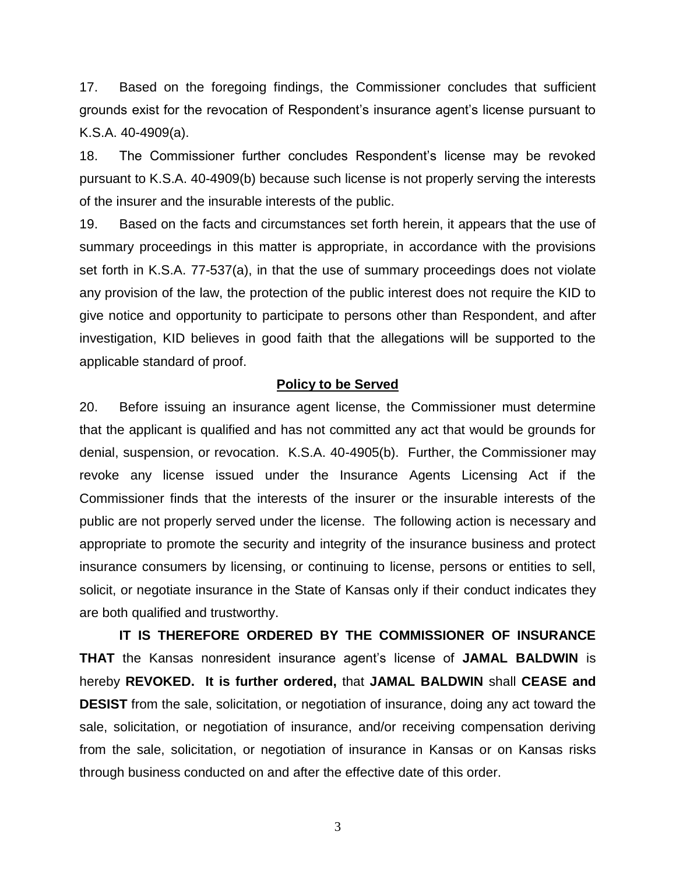17. Based on the foregoing findings, the Commissioner concludes that sufficient grounds exist for the revocation of Respondent's insurance agent's license pursuant to K.S.A. 40-4909(a).

18. The Commissioner further concludes Respondent's license may be revoked pursuant to K.S.A. 40-4909(b) because such license is not properly serving the interests of the insurer and the insurable interests of the public.

19. Based on the facts and circumstances set forth herein, it appears that the use of summary proceedings in this matter is appropriate, in accordance with the provisions set forth in K.S.A. 77-537(a), in that the use of summary proceedings does not violate any provision of the law, the protection of the public interest does not require the KID to give notice and opportunity to participate to persons other than Respondent, and after investigation, KID believes in good faith that the allegations will be supported to the applicable standard of proof.

### **Policy to be Served**

20. Before issuing an insurance agent license, the Commissioner must determine that the applicant is qualified and has not committed any act that would be grounds for denial, suspension, or revocation. K.S.A. 40-4905(b). Further, the Commissioner may revoke any license issued under the Insurance Agents Licensing Act if the Commissioner finds that the interests of the insurer or the insurable interests of the public are not properly served under the license. The following action is necessary and appropriate to promote the security and integrity of the insurance business and protect insurance consumers by licensing, or continuing to license, persons or entities to sell, solicit, or negotiate insurance in the State of Kansas only if their conduct indicates they are both qualified and trustworthy.

**IT IS THEREFORE ORDERED BY THE COMMISSIONER OF INSURANCE THAT** the Kansas nonresident insurance agent's license of **JAMAL BALDWIN** is hereby **REVOKED. It is further ordered,** that **JAMAL BALDWIN** shall **CEASE and DESIST** from the sale, solicitation, or negotiation of insurance, doing any act toward the sale, solicitation, or negotiation of insurance, and/or receiving compensation deriving from the sale, solicitation, or negotiation of insurance in Kansas or on Kansas risks through business conducted on and after the effective date of this order.

3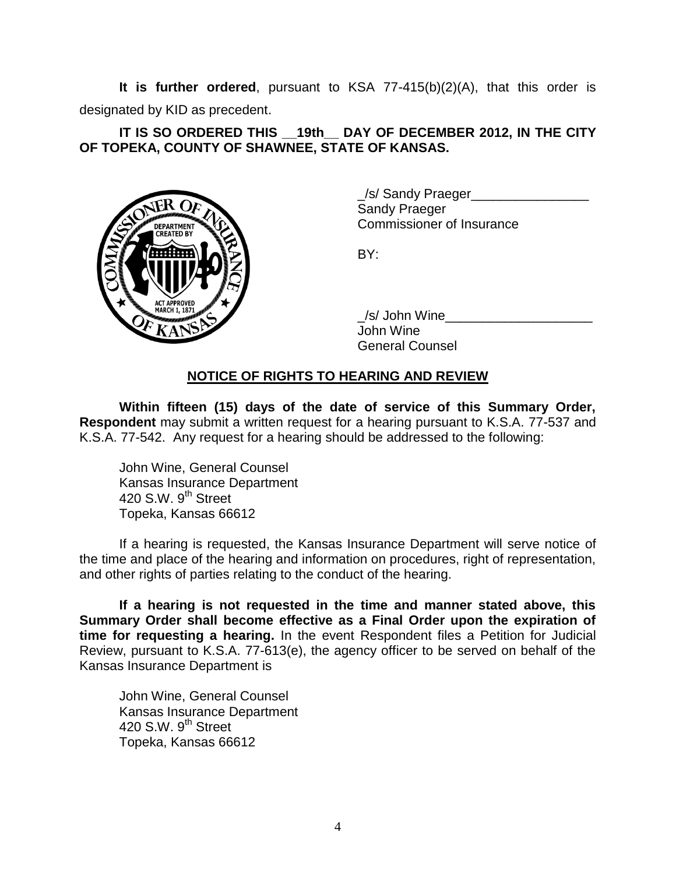**It is further ordered**, pursuant to KSA 77-415(b)(2)(A), that this order is designated by KID as precedent.

## **IT IS SO ORDERED THIS \_\_19th\_\_ DAY OF DECEMBER 2012, IN THE CITY OF TOPEKA, COUNTY OF SHAWNEE, STATE OF KANSAS.**



\_/s/ Sandy Praeger\_\_\_\_\_\_\_\_\_\_\_\_\_\_\_\_ Sandy Praeger Commissioner of Insurance

BY:

/s/ John Wine John Wine General Counsel

# **NOTICE OF RIGHTS TO HEARING AND REVIEW**

**Within fifteen (15) days of the date of service of this Summary Order, Respondent** may submit a written request for a hearing pursuant to K.S.A. 77-537 and K.S.A. 77-542. Any request for a hearing should be addressed to the following:

John Wine, General Counsel Kansas Insurance Department 420 S.W. 9<sup>th</sup> Street Topeka, Kansas 66612

If a hearing is requested, the Kansas Insurance Department will serve notice of the time and place of the hearing and information on procedures, right of representation, and other rights of parties relating to the conduct of the hearing.

**If a hearing is not requested in the time and manner stated above, this Summary Order shall become effective as a Final Order upon the expiration of time for requesting a hearing.** In the event Respondent files a Petition for Judicial Review, pursuant to K.S.A. 77-613(e), the agency officer to be served on behalf of the Kansas Insurance Department is

John Wine, General Counsel Kansas Insurance Department 420 S.W. 9<sup>th</sup> Street Topeka, Kansas 66612